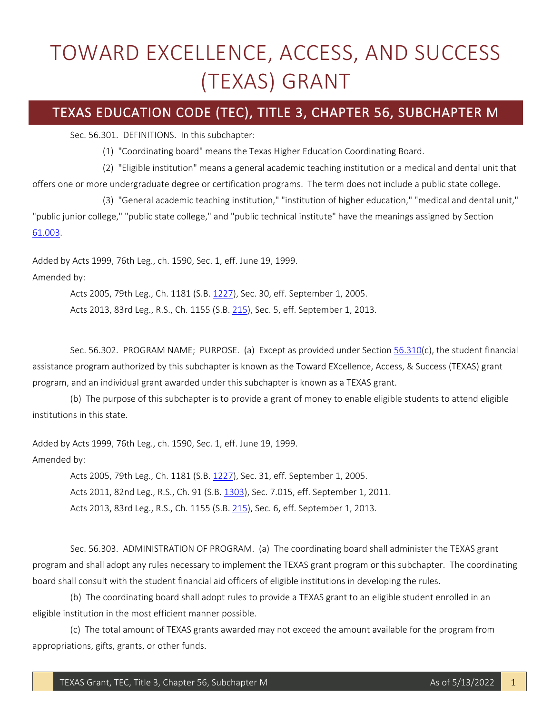## TOWARD EXCELLENCE, ACCESS, AND SUCCESS (TEXAS) GRANT

## TEXAS EDUCATION CODE (TEC), TITLE 3, CHAPTER 56, SUBCHAPTER M

Sec. 56.301. DEFINITIONS. In this subchapter:

(1) "Coordinating board" means the Texas Higher Education Coordinating Board.

 (2) "Eligible institution" means a general academic teaching institution or a medical and dental unit that offers one or more undergraduate degree or certification programs. The term does not include a public state college.

 (3) "General academic teaching institution," "institution of higher education," "medical and dental unit," "public junior college," "public state college," and "public technical institute" have the meanings assigned by Section [61.003.](http://www.statutes.legis.state.tx.us/GetStatute.aspx?Code=ED&Value=61.003)

Added by Acts 1999, 76th Leg., ch. 1590, Sec. 1, eff. June 19, 1999.

Amended by:

Acts 2005, 79th Leg., Ch. 1181 (S.B. [1227\)](http://www.legis.state.tx.us/tlodocs/79R/billtext/html/SB01227F.HTM), Sec. 30, eff. September 1, 2005.

Acts 2013, 83rd Leg., R.S., Ch. 1155 (S.B. [215\)](http://www.legis.state.tx.us/tlodocs/83R/billtext/html/SB00215F.HTM), Sec. 5, eff. September 1, 2013.

Sec. 56.302. PROGRAM NAME; PURPOSE. (a) Except as provided under Section [56.310\(](http://www.statutes.legis.state.tx.us/GetStatute.aspx?Code=ED&Value=56.310)c), the student financial assistance program authorized by this subchapter is known as the Toward EXcellence, Access, & Success (TEXAS) grant program, and an individual grant awarded under this subchapter is known as a TEXAS grant.

 (b) The purpose of this subchapter is to provide a grant of money to enable eligible students to attend eligible institutions in this state.

Added by Acts 1999, 76th Leg., ch. 1590, Sec. 1, eff. June 19, 1999. Amended by:

> Acts 2005, 79th Leg., Ch. 1181 (S.B. [1227\)](http://www.legis.state.tx.us/tlodocs/79R/billtext/html/SB01227F.HTM), Sec. 31, eff. September 1, 2005. Acts 2011, 82nd Leg., R.S., Ch. 91 (S.B[. 1303\)](http://www.legis.state.tx.us/tlodocs/82R/billtext/html/SB01303F.HTM), Sec. 7.015, eff. September 1, 2011. Acts 2013, 83rd Leg., R.S., Ch. 1155 (S.B. [215\)](http://www.legis.state.tx.us/tlodocs/83R/billtext/html/SB00215F.HTM), Sec. 6, eff. September 1, 2013.

 board shall consult with the student financial aid officers of eligible institutions in developing the rules. Sec. 56.303. ADMINISTRATION OF PROGRAM. (a) The coordinating board shall administer the TEXAS grant program and shall adopt any rules necessary to implement the TEXAS grant program or this subchapter. The coordinating

 (b) The coordinating board shall adopt rules to provide a TEXAS grant to an eligible student enrolled in an eligible institution in the most efficient manner possible.

 (c) The total amount of TEXAS grants awarded may not exceed the amount available for the program from appropriations, gifts, grants, or other funds.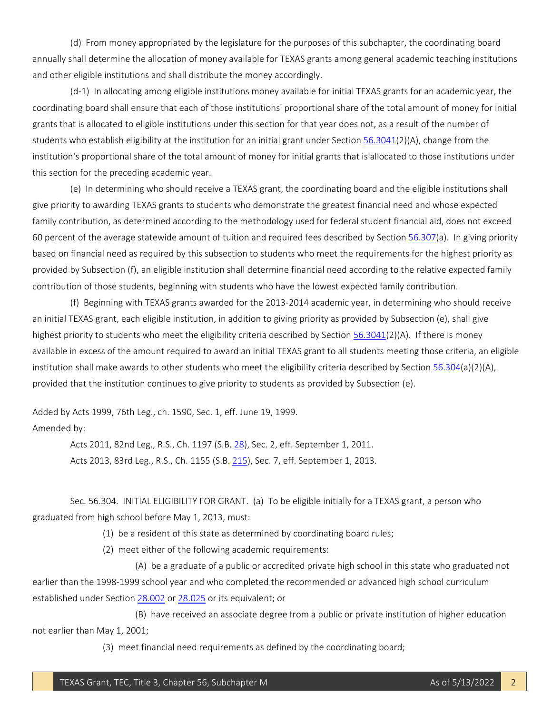(d) From money appropriated by the legislature for the purposes of this subchapter, the coordinating board annually shall determine the allocation of money available for TEXAS grants among general academic teaching institutions and other eligible institutions and shall distribute the money accordingly.

 (d-1) In allocating among eligible institutions money available for initial TEXAS grants for an academic year, the coordinating board shall ensure that each of those institutions' proportional share of the total amount of money for initial grants that is allocated to eligible institutions under this section for that year does not, as a result of the number of institution's proportional share of the total amount of money for initial grants that is allocated to those institutions under students who establish eligibility at the institution for an initial grant under Section [56.3041\(](http://www.statutes.legis.state.tx.us/GetStatute.aspx?Code=ED&Value=56.3041)2)(A), change from the this section for the preceding academic year.

 (e) In determining who should receive a TEXAS grant, the coordinating board and the eligible institutions shall family contribution, as determined according to the methodology used for federal student financial aid, does not exceed 60 percent of the average statewide amount of tuition and required fees described by Section [56.307\(](http://www.statutes.legis.state.tx.us/GetStatute.aspx?Code=ED&Value=56.307)a). In giving priority based on financial need as required by this subsection to students who meet the requirements for the highest priority as provided by Subsection (f), an eligible institution shall determine financial need according to the relative expected family give priority to awarding TEXAS grants to students who demonstrate the greatest financial need and whose expected contribution of those students, beginning with students who have the lowest expected family contribution.

 an initial TEXAS grant, each eligible institution, in addition to giving priority as provided by Subsection (e), shall give available in excess of the amount required to award an initial TEXAS grant to all students meeting those criteria, an eligible institution shall make awards to other students who meet the eligibility criteria described by Sectio[n 56.304\(](http://www.statutes.legis.state.tx.us/GetStatute.aspx?Code=ED&Value=56.304)a)(2)(A), (f) Beginning with TEXAS grants awarded for the 2013-2014 academic year, in determining who should receive highest priority to students who meet the eligibility criteria described by Section [56.3041\(](http://www.statutes.legis.state.tx.us/GetStatute.aspx?Code=ED&Value=56.3041)2)(A). If there is money provided that the institution continues to give priority to students as provided by Subsection (e).

Added by Acts 1999, 76th Leg., ch. 1590, Sec. 1, eff. June 19, 1999. Amended by:

> Acts 2011, 82nd Leg., R.S., Ch. 1197 (S.B. [28\)](http://www.legis.state.tx.us/tlodocs/82R/billtext/html/SB00028F.HTM), Sec. 2, eff. September 1, 2011. Acts 2013, 83rd Leg., R.S., Ch. 1155 (S.B. [215\)](http://www.legis.state.tx.us/tlodocs/83R/billtext/html/SB00215F.HTM), Sec. 7, eff. September 1, 2013.

 Sec. 56.304. INITIAL ELIGIBILITY FOR GRANT. (a) To be eligible initially for a TEXAS grant, a person who graduated from high school before May 1, 2013, must:

(1) be a resident of this state as determined by coordinating board rules;

(2) meet either of the following academic requirements:

 (A) be a graduate of a public or accredited private high school in this state who graduated not earlier than the 1998-1999 school year and who completed the recommended or advanced high school curriculum established under Sectio[n 28.002](http://www.statutes.legis.state.tx.us/GetStatute.aspx?Code=ED&Value=28.002) o[r 28.025](http://www.statutes.legis.state.tx.us/GetStatute.aspx?Code=ED&Value=28.025) or its equivalent; or

 (B) have received an associate degree from a public or private institution of higher education not earlier than May 1, 2001;

(3) meet financial need requirements as defined by the coordinating board;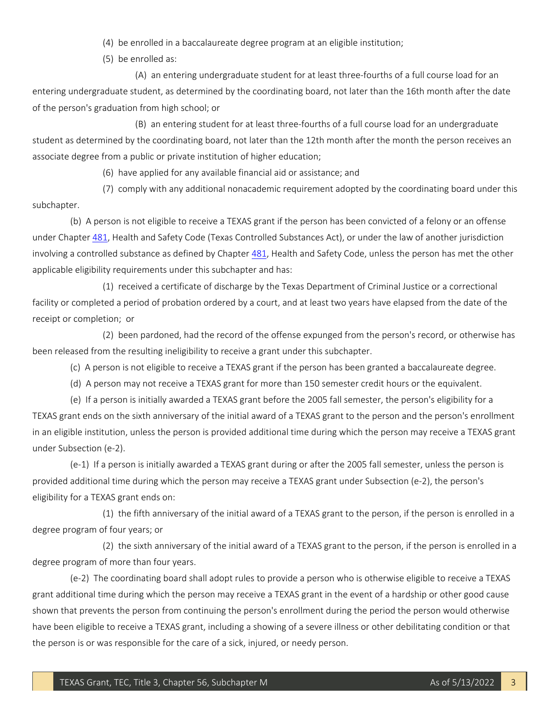(4) be enrolled in a baccalaureate degree program at an eligible institution;

(5) be enrolled as:

(A) an entering undergraduate student for at least three-fourths of a full course load for an entering undergraduate student, as determined by the coordinating board, not later than the 16th month after the date of the person's graduation from high school; or

(B) an entering student for at least three-fourths of a full course load for an undergraduate student as determined by the coordinating board, not later than the 12th month after the month the person receives an associate degree from a public or private institution of higher education;

(6) have applied for any available financial aid or assistance; and

(7) comply with any additional nonacademic requirement adopted by the coordinating board under this subchapter.

 (b) A person is not eligible to receive a TEXAS grant if the person has been convicted of a felony or an offense under Chapte[r 481,](http://www.statutes.legis.state.tx.us/GetStatute.aspx?Code=HS&Value=481) Health and Safety Code (Texas Controlled Substances Act), or under the law of another jurisdiction involving a controlled substance as defined by Chapter [481,](http://www.statutes.legis.state.tx.us/GetStatute.aspx?Code=HS&Value=481) Health and Safety Code, unless the person has met the other applicable eligibility requirements under this subchapter and has:

 facility or completed a period of probation ordered by a court, and at least two years have elapsed from the date of the receipt or completion; or (1) received a certificate of discharge by the Texas Department of Criminal Justice or a correctional

(2) been pardoned, had the record of the offense expunged from the person's record, or otherwise has been released from the resulting ineligibility to receive a grant under this subchapter.

(c) A person is not eligible to receive a TEXAS grant if the person has been granted a baccalaureate degree.

(d) A person may not receive a TEXAS grant for more than 150 semester credit hours or the equivalent.

 (e) If a person is initially awarded a TEXAS grant before the 2005 fall semester, the person's eligibility for a in an eligible institution, unless the person is provided additional time during which the person may receive a TEXAS grant TEXAS grant ends on the sixth anniversary of the initial award of a TEXAS grant to the person and the person's enrollment under Subsection (e-2).

 (e-1) If a person is initially awarded a TEXAS grant during or after the 2005 fall semester, unless the person is provided additional time during which the person may receive a TEXAS grant under Subsection (e-2), the person's eligibility for a TEXAS grant ends on:

 (1) the fifth anniversary of the initial award of a TEXAS grant to the person, if the person is enrolled in a degree program of four years; or

 (2) the sixth anniversary of the initial award of a TEXAS grant to the person, if the person is enrolled in a degree program of more than four years.

 (e-2) The coordinating board shall adopt rules to provide a person who is otherwise eligible to receive a TEXAS grant additional time during which the person may receive a TEXAS grant in the event of a hardship or other good cause shown that prevents the person from continuing the person's enrollment during the period the person would otherwise have been eligible to receive a TEXAS grant, including a showing of a severe illness or other debilitating condition or that the person is or was responsible for the care of a sick, injured, or needy person.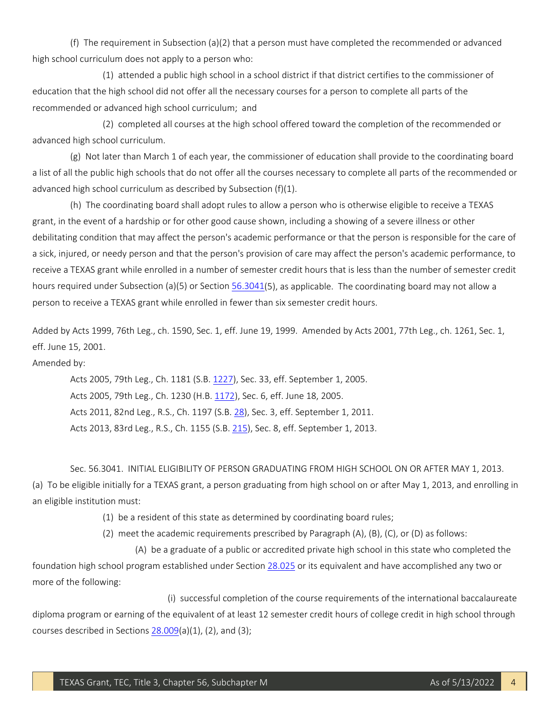(f) The requirement in Subsection (a)(2) that a person must have completed the recommended or advanced high school curriculum does not apply to a person who:

 (1) attended a public high school in a school district if that district certifies to the commissioner of education that the high school did not offer all the necessary courses for a person to complete all parts of the recommended or advanced high school curriculum; and

(2) completed all courses at the high school offered toward the completion of the recommended or advanced high school curriculum.

 (g) Not later than March 1 of each year, the commissioner of education shall provide to the coordinating board a list of all the public high schools that do not offer all the courses necessary to complete all parts of the recommended or advanced high school curriculum as described by Subsection (f)(1).

 grant, in the event of a hardship or for other good cause shown, including a showing of a severe illness or other a sick, injured, or needy person and that the person's provision of care may affect the person's academic performance, to receive a TEXAS grant while enrolled in a number of semester credit hours that is less than the number of semester credit hours required under Subsection (a)(5) or Section [56.3041\(](http://www.statutes.legis.state.tx.us/GetStatute.aspx?Code=ED&Value=56.3041)5), as applicable. The coordinating board may not allow a (h) The coordinating board shall adopt rules to allow a person who is otherwise eligible to receive a TEXAS debilitating condition that may affect the person's academic performance or that the person is responsible for the care of person to receive a TEXAS grant while enrolled in fewer than six semester credit hours.

Added by Acts 1999, 76th Leg., ch. 1590, Sec. 1, eff. June 19, 1999. Amended by Acts 2001, 77th Leg., ch. 1261, Sec. 1, eff. June 15, 2001.

Amended by:

Acts 2005, 79th Leg., Ch. 1181 (S.B. [1227\)](http://www.legis.state.tx.us/tlodocs/79R/billtext/html/SB01227F.HTM), Sec. 33, eff. September 1, 2005. Acts 2005, 79th Leg., Ch. 1230 (H.B. [1172\)](http://www.legis.state.tx.us/tlodocs/79R/billtext/html/HB01172F.HTM), Sec. 6, eff. June 18, 2005. Acts 2011, 82nd Leg., R.S., Ch. 1197 (S.B. [28\)](http://www.legis.state.tx.us/tlodocs/82R/billtext/html/SB00028F.HTM), Sec. 3, eff. September 1, 2011. Acts 2013, 83rd Leg., R.S., Ch. 1155 (S.B. [215\)](http://www.legis.state.tx.us/tlodocs/83R/billtext/html/SB00215F.HTM), Sec. 8, eff. September 1, 2013.

 Sec. 56.3041. INITIAL ELIGIBILITY OF PERSON GRADUATING FROM HIGH SCHOOL ON OR AFTER MAY 1, 2013. (a) To be eligible initially for a TEXAS grant, a person graduating from high school on or after May 1, 2013, and enrolling in an eligible institution must:

(1) be a resident of this state as determined by coordinating board rules;

(2) meet the academic requirements prescribed by Paragraph (A), (B), (C), or (D) as follows:

 (A) be a graduate of a public or accredited private high school in this state who completed the foundation high school program established under Section [28.025](http://www.statutes.legis.state.tx.us/GetStatute.aspx?Code=ED&Value=28.025) or its equivalent and have accomplished any two or more of the following:

 diploma program or earning of the equivalent of at least 12 semester credit hours of college credit in high school through (i) successful completion of the course requirements of the international baccalaureate courses described in Sections  $28.009(a)(1)$ , (2), and (3);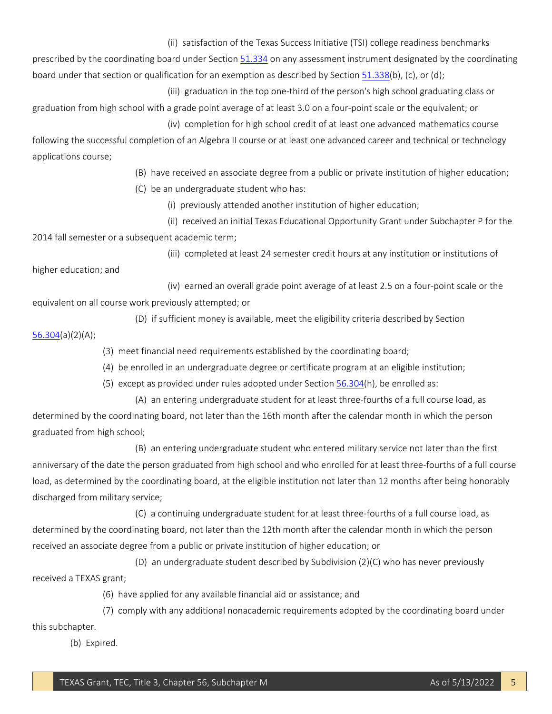(ii) satisfaction of the Texas Success Initiative (TSI) college readiness benchmarks

prescribed by the coordinating board under Sectio[n 51.334 o](http://www.statutes.legis.state.tx.us/GetStatute.aspx?Code=ED&Value=51.334)n any assessment instrument designated by the coordinating board under that section or qualification for an exemption as described by Sectio[n 51.338\(](http://www.statutes.legis.state.tx.us/GetStatute.aspx?Code=ED&Value=51.338)b), (c), or (d);

(iii) graduation in the top one-third of the person's high school graduating class or

 graduation from high school with a grade point average of at least 3.0 on a four-point scale or the equivalent; or (iv) completion for high school credit of at least one advanced mathematics course

 following the successful completion of an Algebra II course or at least one advanced career and technical or technology applications course;

(B) have received an associate degree from a public or private institution of higher education;

(C) be an undergraduate student who has:

(i) previously attended another institution of higher education;

 (ii) received an initial Texas Educational Opportunity Grant under Subchapter P for the 2014 fall semester or a subsequent academic term;

(iii) completed at least 24 semester credit hours at any institution or institutions of

higher education; and

 (iv) earned an overall grade point average of at least 2.5 on a four-point scale or the equivalent on all course work previously attempted; or

(D) if sufficient money is available, meet the eligibility criteria described by Section

[56.304\(](http://www.statutes.legis.state.tx.us/GetStatute.aspx?Code=ED&Value=56.304)a)(2)(A);

(3) meet financial need requirements established by the coordinating board;

(4) be enrolled in an undergraduate degree or certificate program at an eligible institution;

(5) except as provided under rules adopted under Section [56.304\(](http://www.statutes.legis.state.tx.us/GetStatute.aspx?Code=ED&Value=56.304)h), be enrolled as:

(A) an entering undergraduate student for at least three-fourths of a full course load, as

determined by the coordinating board, not later than the 16th month after the calendar month in which the person graduated from high school;

 (B) an entering undergraduate student who entered military service not later than the first anniversary of the date the person graduated from high school and who enrolled for at least three-fourths of a full course load, as determined by the coordinating board, at the eligible institution not later than 12 months after being honorably discharged from military service;

 (C) a continuing undergraduate student for at least three-fourths of a full course load, as determined by the coordinating board, not later than the 12th month after the calendar month in which the person received an associate degree from a public or private institution of higher education; or

(D) an undergraduate student described by Subdivision (2)(C) who has never previously received a TEXAS grant;

(6) have applied for any available financial aid or assistance; and

 (7) comply with any additional nonacademic requirements adopted by the coordinating board under this subchapter.

(b) Expired.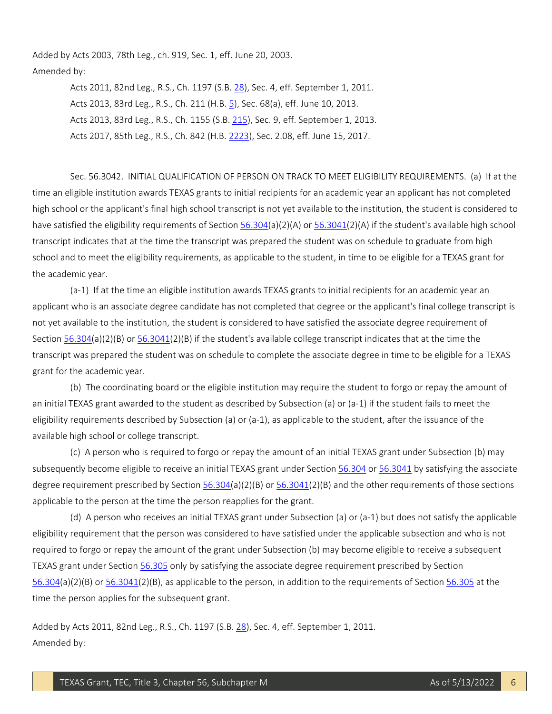Added by Acts 2003, 78th Leg., ch. 919, Sec. 1, eff. June 20, 2003. Amended by:

> Acts 2011, 82nd Leg., R.S., Ch. 1197 (S.B. [28\)](http://www.legis.state.tx.us/tlodocs/82R/billtext/html/SB00028F.HTM), Sec. 4, eff. September 1, 2011. Acts 2013, 83rd Leg., R.S., Ch. 211 (H.B. [5\)](http://www.legis.state.tx.us/tlodocs/83R/billtext/html/HB00005F.HTM), Sec. 68(a), eff. June 10, 2013. Acts 2013, 83rd Leg., R.S., Ch. 1155 (S.B. [215\)](http://www.legis.state.tx.us/tlodocs/83R/billtext/html/SB00215F.HTM), Sec. 9, eff. September 1, 2013. Acts 2017, 85th Leg., R.S., Ch. 842 (H.B. [2223\)](http://www.legis.state.tx.us/tlodocs/85R/billtext/html/HB02223F.HTM), Sec. 2.08, eff. June 15, 2017.

 time an eligible institution awards TEXAS grants to initial recipients for an academic year an applicant has not completed transcript indicates that at the time the transcript was prepared the student was on schedule to graduate from high school and to meet the eligibility requirements, as applicable to the student, in time to be eligible for a TEXAS grant for Sec. 56.3042. INITIAL QUALIFICATION OF PERSON ON TRACK TO MEET ELIGIBILITY REQUIREMENTS. (a) If at the high school or the applicant's final high school transcript is not yet available to the institution, the student is considered to have satisfied the eligibility requirements of Section [56.304\(](http://www.statutes.legis.state.tx.us/GetStatute.aspx?Code=ED&Value=56.304)a)(2)(A) o[r 56.3041\(](http://www.statutes.legis.state.tx.us/GetStatute.aspx?Code=ED&Value=56.3041)2)(A) if the student's available high school the academic year.

 applicant who is an associate degree candidate has not completed that degree or the applicant's final college transcript is grant for the academic year. (a-1) If at the time an eligible institution awards TEXAS grants to initial recipients for an academic year an not yet available to the institution, the student is considered to have satisfied the associate degree requirement of Section [56.304\(](http://www.statutes.legis.state.tx.us/GetStatute.aspx?Code=ED&Value=56.304)a)(2)(B) or [56.3041\(](http://www.statutes.legis.state.tx.us/GetStatute.aspx?Code=ED&Value=56.3041)2)(B) if the student's available college transcript indicates that at the time the transcript was prepared the student was on schedule to complete the associate degree in time to be eligible for a TEXAS

 (b) The coordinating board or the eligible institution may require the student to forgo or repay the amount of eligibility requirements described by Subsection (a) or (a-1), as applicable to the student, after the issuance of the an initial TEXAS grant awarded to the student as described by Subsection (a) or (a-1) if the student fails to meet the available high school or college transcript.

 (c) A person who is required to forgo or repay the amount of an initial TEXAS grant under Subsection (b) may subsequently become eligible to receive an initial TEXAS grant under Sectio[n 56.304](http://www.statutes.legis.state.tx.us/GetStatute.aspx?Code=ED&Value=56.304) o[r 56.3041](http://www.statutes.legis.state.tx.us/GetStatute.aspx?Code=ED&Value=56.3041) by satisfying the associate degree requirement prescribed by Section  $56.304(a)(2)(B)$  or  $56.3041(2)(B)$  and the other requirements of those sections applicable to the person at the time the person reapplies for the grant.

 (d) A person who receives an initial TEXAS grant under Subsection (a) or (a-1) but does not satisfy the applicable eligibility requirement that the person was considered to have satisfied under the applicable subsection and who is not required to forgo or repay the amount of the grant under Subsection (b) may become eligible to receive a subsequent [56.304\(](http://www.statutes.legis.state.tx.us/GetStatute.aspx?Code=ED&Value=56.304)a)(2)(B) or [56.3041\(](http://www.statutes.legis.state.tx.us/GetStatute.aspx?Code=ED&Value=56.3041)2)(B), as applicable to the person, in addition to the requirements of Section [56.305](http://www.statutes.legis.state.tx.us/GetStatute.aspx?Code=ED&Value=56.305) at the time the person applies for the subsequent grant. TEXAS grant under Sectio[n 56.305 o](http://www.statutes.legis.state.tx.us/GetStatute.aspx?Code=ED&Value=56.305)nly by satisfying the associate degree requirement prescribed by Section

Added by Acts 2011, 82nd Leg., R.S., Ch. 1197 (S.B. [28\)](http://www.legis.state.tx.us/tlodocs/82R/billtext/html/SB00028F.HTM), Sec. 4, eff. September 1, 2011. Amended by: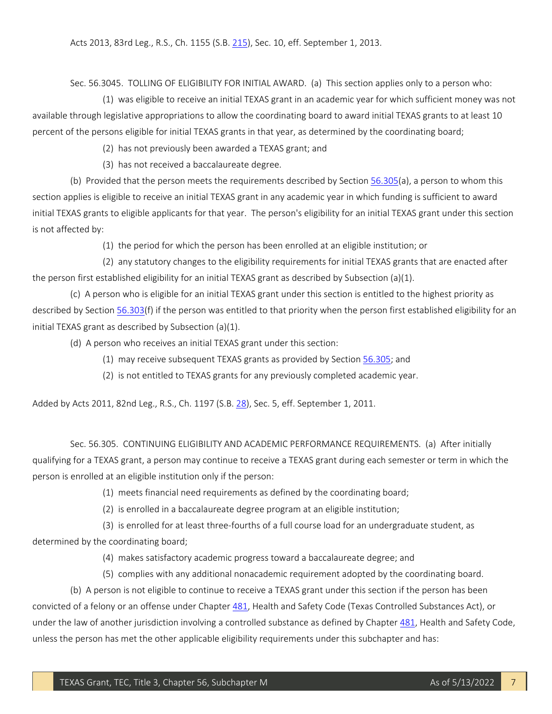Acts 2013, 83rd Leg., R.S., Ch. 1155 (S.B. [215\)](http://www.legis.state.tx.us/tlodocs/83R/billtext/html/SB00215F.HTM), Sec. 10, eff. September 1, 2013.

Sec. 56.3045. TOLLING OF ELIGIBILITY FOR INITIAL AWARD. (a) This section applies only to a person who:

 (1) was eligible to receive an initial TEXAS grant in an academic year for which sufficient money was not percent of the persons eligible for initial TEXAS grants in that year, as determined by the coordinating board; available through legislative appropriations to allow the coordinating board to award initial TEXAS grants to at least 10

(2) has not previously been awarded a TEXAS grant; and

(3) has not received a baccalaureate degree.

(b) Provided that the person meets the requirements described by Section [56.305\(](http://www.statutes.legis.state.tx.us/GetStatute.aspx?Code=ED&Value=56.305)a), a person to whom this section applies is eligible to receive an initial TEXAS grant in any academic year in which funding is sufficient to award initial TEXAS grants to eligible applicants for that year. The person's eligibility for an initial TEXAS grant under this section is not affected by:

(1) the period for which the person has been enrolled at an eligible institution; or

 (2) any statutory changes to the eligibility requirements for initial TEXAS grants that are enacted after the person first established eligibility for an initial TEXAS grant as described by Subsection (a)(1).

 (c) A person who is eligible for an initial TEXAS grant under this section is entitled to the highest priority as described by Section [56.303\(](http://www.statutes.legis.state.tx.us/GetStatute.aspx?Code=ED&Value=56.303)f) if the person was entitled to that priority when the person first established eligibility for an initial TEXAS grant as described by Subsection (a)(1).

(d) A person who receives an initial TEXAS grant under this section:

- (1) may receive subsequent TEXAS grants as provided by Section [56.305;](http://www.statutes.legis.state.tx.us/GetStatute.aspx?Code=ED&Value=56.305) and
- (2) is not entitled to TEXAS grants for any previously completed academic year.

Added by Acts 2011, 82nd Leg., R.S., Ch. 1197 (S.B. [28\)](http://www.legis.state.tx.us/tlodocs/82R/billtext/html/SB00028F.HTM), Sec. 5, eff. September 1, 2011.

 qualifying for a TEXAS grant, a person may continue to receive a TEXAS grant during each semester or term in which the person is enrolled at an eligible institution only if the person: Sec. 56.305. CONTINUING ELIGIBILITY AND ACADEMIC PERFORMANCE REQUIREMENTS. (a) After initially

(1) meets financial need requirements as defined by the coordinating board;

(2) is enrolled in a baccalaureate degree program at an eligible institution;

 (3) is enrolled for at least three-fourths of a full course load for an undergraduate student, as determined by the coordinating board;

(4) makes satisfactory academic progress toward a baccalaureate degree; and

(5) complies with any additional nonacademic requirement adopted by the coordinating board.

 (b) A person is not eligible to continue to receive a TEXAS grant under this section if the person has been convicted of a felony or an offense under Chapter [481,](http://www.statutes.legis.state.tx.us/GetStatute.aspx?Code=HS&Value=481) Health and Safety Code (Texas Controlled Substances Act), or under the law of another jurisdiction involving a controlled substance as defined by Chapter [481,](http://www.statutes.legis.state.tx.us/GetStatute.aspx?Code=HS&Value=481) Health and Safety Code, unless the person has met the other applicable eligibility requirements under this subchapter and has: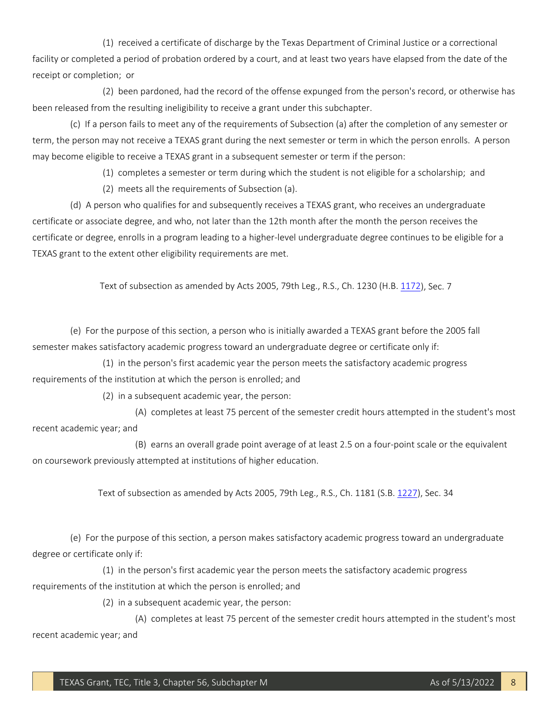facility or completed a period of probation ordered by a court, and at least two years have elapsed from the date of the receipt or completion; or (1) received a certificate of discharge by the Texas Department of Criminal Justice or a correctional

(2) been pardoned, had the record of the offense expunged from the person's record, or otherwise has been released from the resulting ineligibility to receive a grant under this subchapter.

 (c) If a person fails to meet any of the requirements of Subsection (a) after the completion of any semester or may become eligible to receive a TEXAS grant in a subsequent semester or term if the person: term, the person may not receive a TEXAS grant during the next semester or term in which the person enrolls. A person

(1) completes a semester or term during which the student is not eligible for a scholarship; and

(2) meets all the requirements of Subsection (a).

 (d) A person who qualifies for and subsequently receives a TEXAS grant, who receives an undergraduate certificate or degree, enrolls in a program leading to a higher-level undergraduate degree continues to be eligible for a TEXAS grant to the extent other eligibility requirements are met. certificate or associate degree, and who, not later than the 12th month after the month the person receives the

Text of subsection as amended by Acts 2005, 79th Leg., R.S., Ch. 1230 (H.B[. 1172\)](http://www.legis.state.tx.us/tlodocs/79R/billtext/html/HB01172F.HTM), Sec. 7

 (e) For the purpose of this section, a person who is initially awarded a TEXAS grant before the 2005 fall semester makes satisfactory academic progress toward an undergraduate degree or certificate only if:

(1) in the person's first academic year the person meets the satisfactory academic progress requirements of the institution at which the person is enrolled; and

(2) in a subsequent academic year, the person:

(A) completes at least 75 percent of the semester credit hours attempted in the student's most recent academic year; and

 (B) earns an overall grade point average of at least 2.5 on a four-point scale or the equivalent on coursework previously attempted at institutions of higher education.

Text of subsection as amended by Acts 2005, 79th Leg., R.S., Ch. 1181 (S.B. [1227\)](http://www.legis.state.tx.us/tlodocs/79R/billtext/html/SB01227F.HTM), Sec. 34

(e) For the purpose of this section, a person makes satisfactory academic progress toward an undergraduate degree or certificate only if:

(1) in the person's first academic year the person meets the satisfactory academic progress requirements of the institution at which the person is enrolled; and

(2) in a subsequent academic year, the person:

(A) completes at least 75 percent of the semester credit hours attempted in the student's most recent academic year; and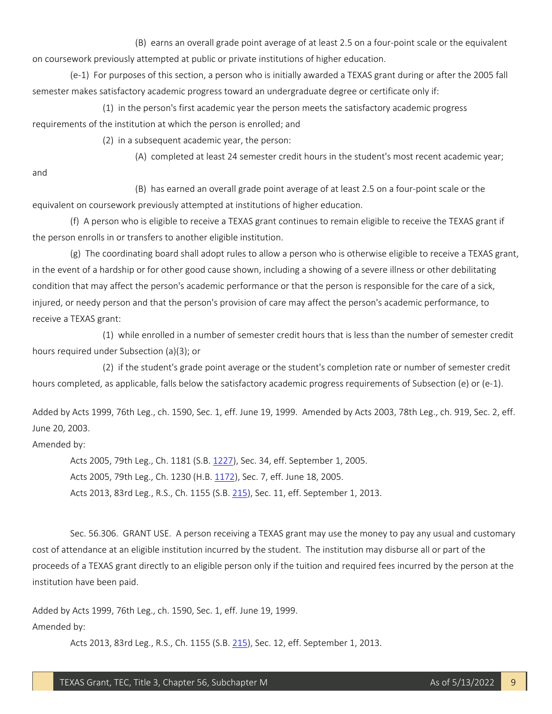(B) earns an overall grade point average of at least 2.5 on a four-point scale or the equivalent on coursework previously attempted at public or private institutions of higher education.

 (e-1) For purposes of this section, a person who is initially awarded a TEXAS grant during or after the 2005 fall semester makes satisfactory academic progress toward an undergraduate degree or certificate only if:

(1) in the person's first academic year the person meets the satisfactory academic progress requirements of the institution at which the person is enrolled; and

(2) in a subsequent academic year, the person:

(A) completed at least 24 semester credit hours in the student's most recent academic year;

and

 (B) has earned an overall grade point average of at least 2.5 on a four-point scale or the equivalent on coursework previously attempted at institutions of higher education.

 (f) A person who is eligible to receive a TEXAS grant continues to remain eligible to receive the TEXAS grant if the person enrolls in or transfers to another eligible institution.

 (g) The coordinating board shall adopt rules to allow a person who is otherwise eligible to receive a TEXAS grant, condition that may affect the person's academic performance or that the person is responsible for the care of a sick, injured, or needy person and that the person's provision of care may affect the person's academic performance, to in the event of a hardship or for other good cause shown, including a showing of a severe illness or other debilitating receive a TEXAS grant:

(1) while enrolled in a number of semester credit hours that is less than the number of semester credit hours required under Subsection (a)(3); or

 (2) if the student's grade point average or the student's completion rate or number of semester credit hours completed, as applicable, falls below the satisfactory academic progress requirements of Subsection (e) or (e-1).

Added by Acts 1999, 76th Leg., ch. 1590, Sec. 1, eff. June 19, 1999. Amended by Acts 2003, 78th Leg., ch. 919, Sec. 2, eff. June 20, 2003.

Amended by:

Acts 2005, 79th Leg., Ch. 1181 (S.B. [1227\)](http://www.legis.state.tx.us/tlodocs/79R/billtext/html/SB01227F.HTM), Sec. 34, eff. September 1, 2005. Acts 2005, 79th Leg., Ch. 1230 (H.B. [1172\)](http://www.legis.state.tx.us/tlodocs/79R/billtext/html/HB01172F.HTM), Sec. 7, eff. June 18, 2005. Acts 2013, 83rd Leg., R.S., Ch. 1155 (S.B. [215\)](http://www.legis.state.tx.us/tlodocs/83R/billtext/html/SB00215F.HTM), Sec. 11, eff. September 1, 2013.

 Sec. 56.306. GRANT USE. A person receiving a TEXAS grant may use the money to pay any usual and customary cost of attendance at an eligible institution incurred by the student. The institution may disburse all or part of the proceeds of a TEXAS grant directly to an eligible person only if the tuition and required fees incurred by the person at the institution have been paid.

Added by Acts 1999, 76th Leg., ch. 1590, Sec. 1, eff. June 19, 1999. Amended by:

Acts 2013, 83rd Leg., R.S., Ch. 1155 (S.B. [215\)](http://www.legis.state.tx.us/tlodocs/83R/billtext/html/SB00215F.HTM), Sec. 12, eff. September 1, 2013.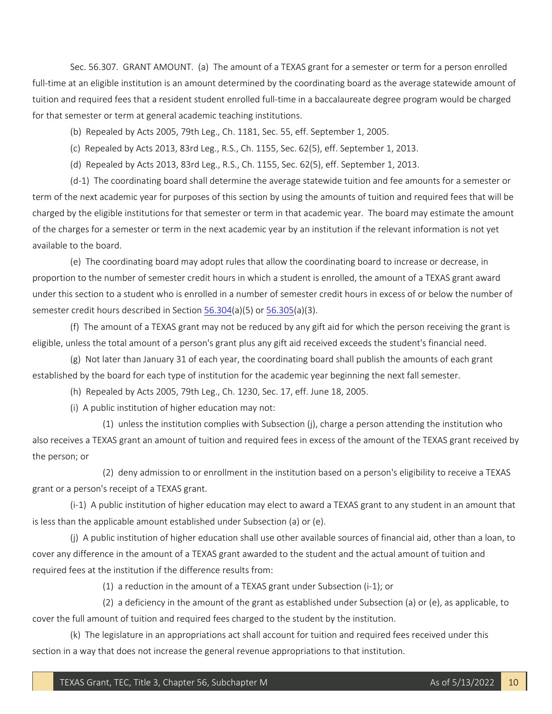Sec. 56.307. GRANT AMOUNT. (a) The amount of a TEXAS grant for a semester or term for a person enrolled full-time at an eligible institution is an amount determined by the coordinating board as the average statewide amount of tuition and required fees that a resident student enrolled full-time in a baccalaureate degree program would be charged for that semester or term at general academic teaching institutions.

(b) Repealed by Acts 2005, 79th Leg., Ch. 1181, Sec. 55, eff. September 1, 2005.

(c) Repealed by Acts 2013, 83rd Leg., R.S., Ch. 1155, Sec. 62(5), eff. September 1, 2013.

(d) Repealed by Acts 2013, 83rd Leg., R.S., Ch. 1155, Sec. 62(5), eff. September 1, 2013.

 term of the next academic year for purposes of this section by using the amounts of tuition and required fees that will be charged by the eligible institutions for that semester or term in that academic year. The board may estimate the amount of the charges for a semester or term in the next academic year by an institution if the relevant information is not yet (d-1) The coordinating board shall determine the average statewide tuition and fee amounts for a semester or available to the board.

 (e) The coordinating board may adopt rules that allow the coordinating board to increase or decrease, in proportion to the number of semester credit hours in which a student is enrolled, the amount of a TEXAS grant award under this section to a student who is enrolled in a number of semester credit hours in excess of or below the number of semester credit hours described in Sectio[n 56.304\(](http://www.statutes.legis.state.tx.us/GetStatute.aspx?Code=ED&Value=56.304)a)(5) o[r 56.305\(](http://www.statutes.legis.state.tx.us/GetStatute.aspx?Code=ED&Value=56.305)a)(3).

 (f) The amount of a TEXAS grant may not be reduced by any gift aid for which the person receiving the grant is eligible, unless the total amount of a person's grant plus any gift aid received exceeds the student's financial need.

 (g) Not later than January 31 of each year, the coordinating board shall publish the amounts of each grant established by the board for each type of institution for the academic year beginning the next fall semester.

(h) Repealed by Acts 2005, 79th Leg., Ch. 1230, Sec. 17, eff. June 18, 2005.

(i) A public institution of higher education may not:

(1) unless the institution complies with Subsection (j), charge a person attending the institution who also receives a TEXAS grant an amount of tuition and required fees in excess of the amount of the TEXAS grant received by the person; or

 (2) deny admission to or enrollment in the institution based on a person's eligibility to receive a TEXAS grant or a person's receipt of a TEXAS grant.

 (i-1) A public institution of higher education may elect to award a TEXAS grant to any student in an amount that is less than the applicable amount established under Subsection (a) or (e).

 (j) A public institution of higher education shall use other available sources of financial aid, other than a loan, to cover any difference in the amount of a TEXAS grant awarded to the student and the actual amount of tuition and required fees at the institution if the difference results from:

(1) a reduction in the amount of a TEXAS grant under Subsection (i-1); or

 (2) a deficiency in the amount of the grant as established under Subsection (a) or (e), as applicable, to cover the full amount of tuition and required fees charged to the student by the institution.

(k) The legislature in an appropriations act shall account for tuition and required fees received under this section in a way that does not increase the general revenue appropriations to that institution.